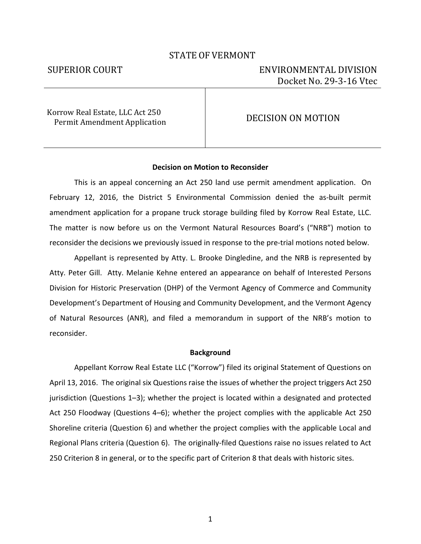# STATE OF VERMONT

# SUPERIOR COURT ENVIRONMENTAL DIVISION Docket No. 29-3-16 Vtec

Korrow Real Estate, LLC Act 250 Permit Amendment Application **DECISION ON MOTION** 

### **Decision on Motion to Reconsider**

This is an appeal concerning an Act 250 land use permit amendment application. On February 12, 2016, the District 5 Environmental Commission denied the as-built permit amendment application for a propane truck storage building filed by Korrow Real Estate, LLC. The matter is now before us on the Vermont Natural Resources Board's ("NRB") motion to reconsider the decisions we previously issued in response to the pre-trial motions noted below.

Appellant is represented by Atty. L. Brooke Dingledine, and the NRB is represented by Atty. Peter Gill. Atty. Melanie Kehne entered an appearance on behalf of Interested Persons Division for Historic Preservation (DHP) of the Vermont Agency of Commerce and Community Development's Department of Housing and Community Development, and the Vermont Agency of Natural Resources (ANR), and filed a memorandum in support of the NRB's motion to reconsider.

#### **Background**

Appellant Korrow Real Estate LLC ("Korrow") filed its original Statement of Questions on April 13, 2016. The original six Questions raise the issues of whether the project triggers Act 250 jurisdiction (Questions 1–3); whether the project is located within a designated and protected Act 250 Floodway (Questions 4–6); whether the project complies with the applicable Act 250 Shoreline criteria (Question 6) and whether the project complies with the applicable Local and Regional Plans criteria (Question 6). The originally-filed Questions raise no issues related to Act 250 Criterion 8 in general, or to the specific part of Criterion 8 that deals with historic sites.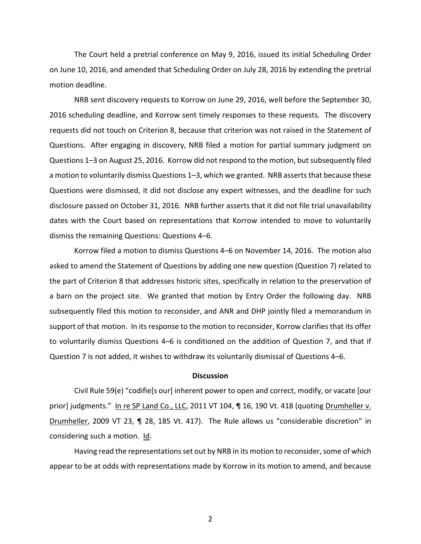The Court held a pretrial conference on May 9, 2016, issued its initial Scheduling Order on June 10, 2016, and amended that Scheduling Order on July 28, 2016 by extending the pretrial motion deadline.

NRB sent discovery requests to Korrow on June 29, 2016, well before the September 30, 2016 scheduling deadline, and Korrow sent timely responses to these requests. The discovery requests did not touch on Criterion 8, because that criterion was not raised in the Statement of Questions. After engaging in discovery, NRB filed a motion for partial summary judgment on Questions 1–3 on August 25, 2016. Korrow did not respond to the motion, but subsequently filed a motion to voluntarily dismiss Questions 1–3, which we granted. NRB asserts that because these Questions were dismissed, it did not disclose any expert witnesses, and the deadline for such disclosure passed on October 31, 2016. NRB further asserts that it did not file trial unavailability dates with the Court based on representations that Korrow intended to move to voluntarily dismiss the remaining Questions: Questions 4–6.

Korrow filed a motion to dismiss Questions 4–6 on November 14, 2016. The motion also asked to amend the Statement of Questions by adding one new question (Question 7) related to the part of Criterion 8 that addresses historic sites, specifically in relation to the preservation of a barn on the project site. We granted that motion by Entry Order the following day. NRB subsequently filed this motion to reconsider, and ANR and DHP jointly filed a memorandum in support of that motion. In its response to the motion to reconsider, Korrow clarifies that its offer to voluntarily dismiss Questions 4–6 is conditioned on the addition of Question 7, and that if Question 7 is not added, it wishes to withdraw its voluntarily dismissal of Questions 4–6.

#### **Discussion**

Civil Rule 59(e) "codifie[s our] inherent power to open and correct, modify, or vacate [our prior] judgments." In re SP Land Co., LLC, 2011 VT 104, ¶ 16, 190 Vt. 418 (quoting Drumheller v. Drumheller, 2009 VT 23, ¶ 28, 185 Vt. 417). The Rule allows us "considerable discretion" in considering such a motion. Id.

Having read the representations set out by NRB in its motion to reconsider, some of which appear to be at odds with representations made by Korrow in its motion to amend, and because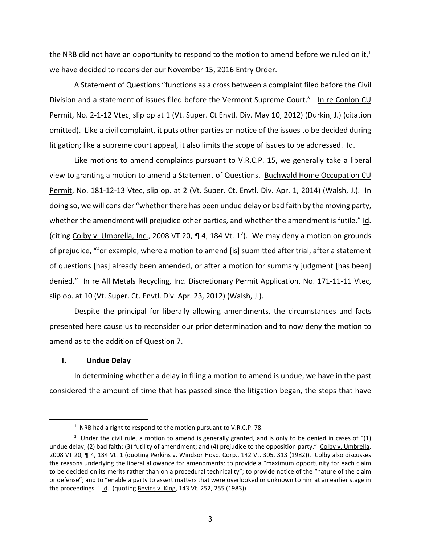the NRB did not have an opportunity to respond to the motion to amend before we ruled on it,<sup>1</sup> we have decided to reconsider our November 15, 2016 Entry Order.

A Statement of Questions "functions as a cross between a complaint filed before the Civil Division and a statement of issues filed before the Vermont Supreme Court." In re Conlon CU Permit, No. 2-1-12 Vtec, slip op at 1 (Vt. Super. Ct Envtl. Div. May 10, 2012) (Durkin, J.) (citation omitted). Like a civil complaint, it puts other parties on notice of the issues to be decided during litigation; like a supreme court appeal, it also limits the scope of issues to be addressed. Id.

Like motions to amend complaints pursuant to V.R.C.P. 15, we generally take a liberal view to granting a motion to amend a Statement of Questions. Buchwald Home Occupation CU Permit, No. 181-12-13 Vtec, slip op. at 2 (Vt. Super. Ct. Envtl. Div. Apr. 1, 2014) (Walsh, J.). In doing so, we will consider "whether there has been undue delay or bad faith by the moving party, whether the amendment will prejudice other parties, and whether the amendment is futile." Id. (citing Colby v. Umbrella, Inc., 2008 VT 20, ¶ 4, 184 Vt. 1<sup>2</sup>). We may deny a motion on grounds of prejudice, "for example, where a motion to amend [is] submitted after trial, after a statement of questions [has] already been amended, or after a motion for summary judgment [has been] denied." In re All Metals Recycling, Inc. Discretionary Permit Application, No. 171-11-11 Vtec, slip op. at 10 (Vt. Super. Ct. Envtl. Div. Apr. 23, 2012) (Walsh, J.).

Despite the principal for liberally allowing amendments, the circumstances and facts presented here cause us to reconsider our prior determination and to now deny the motion to amend as to the addition of Question 7.

# **I. Undue Delay**

1

In determining whether a delay in filing a motion to amend is undue, we have in the past considered the amount of time that has passed since the litigation began, the steps that have

<sup>&</sup>lt;sup>1</sup> NRB had a right to respond to the motion pursuant to V.R.C.P. 78.

<sup>&</sup>lt;sup>2</sup> Under the civil rule, a motion to amend is generally granted, and is only to be denied in cases of "(1) undue delay; (2) bad faith; (3) futility of amendment; and (4) prejudice to the opposition party." Colby v. Umbrella, 2008 VT 20, ¶ 4, 184 Vt. 1 (quoting Perkins v. Windsor Hosp. Corp., 142 Vt. 305, 313 (1982)). Colby also discusses the reasons underlying the liberal allowance for amendments: to provide a "maximum opportunity for each claim to be decided on its merits rather than on a procedural technicality"; to provide notice of the "nature of the claim or defense"; and to "enable a party to assert matters that were overlooked or unknown to him at an earlier stage in the proceedings." Id. (quoting Bevins v. King, 143 Vt. 252, 255 (1983)).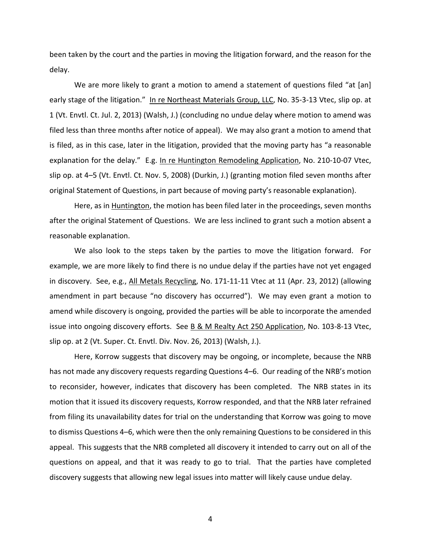been taken by the court and the parties in moving the litigation forward, and the reason for the delay.

We are more likely to grant a motion to amend a statement of questions filed "at [an] early stage of the litigation." In re Northeast Materials Group, LLC, No. 35-3-13 Vtec, slip op. at 1 (Vt. Envtl. Ct. Jul. 2, 2013) (Walsh, J.) (concluding no undue delay where motion to amend was filed less than three months after notice of appeal). We may also grant a motion to amend that is filed, as in this case, later in the litigation, provided that the moving party has "a reasonable explanation for the delay." E.g. In re Huntington Remodeling Application, No. 210-10-07 Vtec, slip op. at 4–5 (Vt. Envtl. Ct. Nov. 5, 2008) (Durkin, J.) (granting motion filed seven months after original Statement of Questions, in part because of moving party's reasonable explanation).

Here, as in **Huntington**, the motion has been filed later in the proceedings, seven months after the original Statement of Questions. We are less inclined to grant such a motion absent a reasonable explanation.

We also look to the steps taken by the parties to move the litigation forward. For example, we are more likely to find there is no undue delay if the parties have not yet engaged in discovery. See, e.g., All Metals Recycling, No. 171-11-11 Vtec at 11 (Apr. 23, 2012) (allowing amendment in part because "no discovery has occurred"). We may even grant a motion to amend while discovery is ongoing, provided the parties will be able to incorporate the amended issue into ongoing discovery efforts. See B & M Realty Act 250 Application, No. 103-8-13 Vtec, slip op. at 2 (Vt. Super. Ct. Envtl. Div. Nov. 26, 2013) (Walsh, J.).

Here, Korrow suggests that discovery may be ongoing, or incomplete, because the NRB has not made any discovery requests regarding Questions 4–6. Our reading of the NRB's motion to reconsider, however, indicates that discovery has been completed. The NRB states in its motion that it issued its discovery requests, Korrow responded, and that the NRB later refrained from filing its unavailability dates for trial on the understanding that Korrow was going to move to dismiss Questions 4–6, which were then the only remaining Questions to be considered in this appeal. This suggests that the NRB completed all discovery it intended to carry out on all of the questions on appeal, and that it was ready to go to trial. That the parties have completed discovery suggests that allowing new legal issues into matter will likely cause undue delay.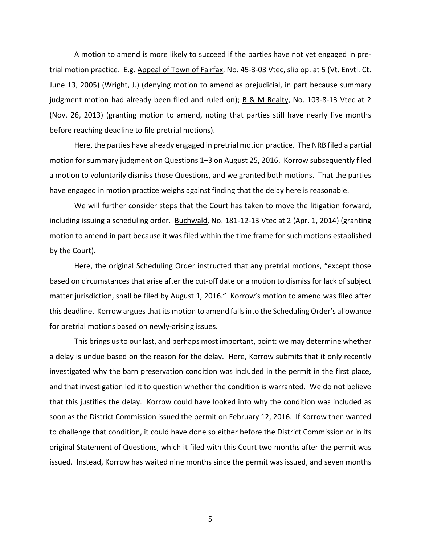A motion to amend is more likely to succeed if the parties have not yet engaged in pretrial motion practice. E.g. Appeal of Town of Fairfax, No. 45-3-03 Vtec, slip op. at 5 (Vt. Envtl. Ct. June 13, 2005) (Wright, J.) (denying motion to amend as prejudicial, in part because summary judgment motion had already been filed and ruled on);  $\underline{B}$  & M Realty, No. 103-8-13 Vtec at 2 (Nov. 26, 2013) (granting motion to amend, noting that parties still have nearly five months before reaching deadline to file pretrial motions).

Here, the parties have already engaged in pretrial motion practice. The NRB filed a partial motion for summary judgment on Questions 1–3 on August 25, 2016. Korrow subsequently filed a motion to voluntarily dismiss those Questions, and we granted both motions. That the parties have engaged in motion practice weighs against finding that the delay here is reasonable.

We will further consider steps that the Court has taken to move the litigation forward, including issuing a scheduling order. Buchwald, No. 181-12-13 Vtec at 2 (Apr. 1, 2014) (granting motion to amend in part because it was filed within the time frame for such motions established by the Court).

Here, the original Scheduling Order instructed that any pretrial motions, "except those based on circumstances that arise after the cut-off date or a motion to dismiss for lack of subject matter jurisdiction, shall be filed by August 1, 2016." Korrow's motion to amend was filed after this deadline. Korrow argues that its motion to amend falls into the Scheduling Order's allowance for pretrial motions based on newly-arising issues.

This brings us to our last, and perhaps most important, point: we may determine whether a delay is undue based on the reason for the delay. Here, Korrow submits that it only recently investigated why the barn preservation condition was included in the permit in the first place, and that investigation led it to question whether the condition is warranted. We do not believe that this justifies the delay. Korrow could have looked into why the condition was included as soon as the District Commission issued the permit on February 12, 2016. If Korrow then wanted to challenge that condition, it could have done so either before the District Commission or in its original Statement of Questions, which it filed with this Court two months after the permit was issued. Instead, Korrow has waited nine months since the permit was issued, and seven months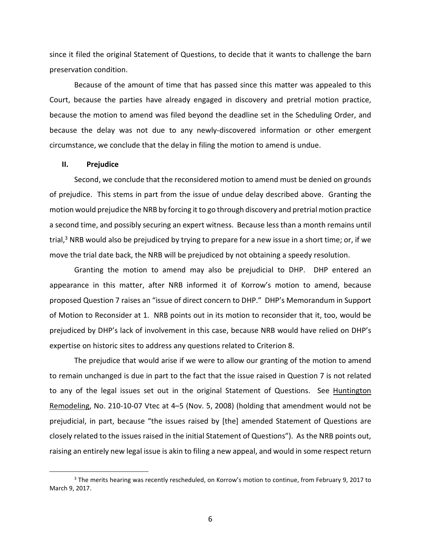since it filed the original Statement of Questions, to decide that it wants to challenge the barn preservation condition.

Because of the amount of time that has passed since this matter was appealed to this Court, because the parties have already engaged in discovery and pretrial motion practice, because the motion to amend was filed beyond the deadline set in the Scheduling Order, and because the delay was not due to any newly-discovered information or other emergent circumstance, we conclude that the delay in filing the motion to amend is undue.

### **II. Prejudice**

.

Second, we conclude that the reconsidered motion to amend must be denied on grounds of prejudice. This stems in part from the issue of undue delay described above. Granting the motion would prejudice the NRB by forcing it to go through discovery and pretrial motion practice a second time, and possibly securing an expert witness. Because less than a month remains until trial,<sup>3</sup> NRB would also be prejudiced by trying to prepare for a new issue in a short time; or, if we move the trial date back, the NRB will be prejudiced by not obtaining a speedy resolution.

Granting the motion to amend may also be prejudicial to DHP. DHP entered an appearance in this matter, after NRB informed it of Korrow's motion to amend, because proposed Question 7 raises an "issue of direct concern to DHP." DHP's Memorandum in Support of Motion to Reconsider at 1. NRB points out in its motion to reconsider that it, too, would be prejudiced by DHP's lack of involvement in this case, because NRB would have relied on DHP's expertise on historic sites to address any questions related to Criterion 8.

The prejudice that would arise if we were to allow our granting of the motion to amend to remain unchanged is due in part to the fact that the issue raised in Question 7 is not related to any of the legal issues set out in the original Statement of Questions. See Huntington Remodeling, No. 210-10-07 Vtec at 4–5 (Nov. 5, 2008) (holding that amendment would not be prejudicial, in part, because "the issues raised by [the] amended Statement of Questions are closely related to the issues raised in the initial Statement of Questions"). As the NRB points out, raising an entirely new legal issue is akin to filing a new appeal, and would in some respect return

<sup>&</sup>lt;sup>3</sup> The merits hearing was recently rescheduled, on Korrow's motion to continue, from February 9, 2017 to March 9, 2017.